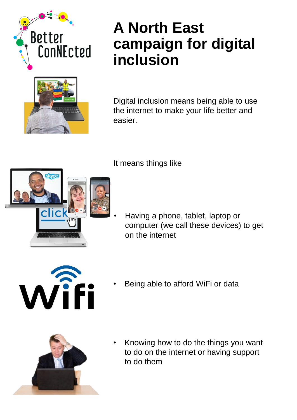



## **A North East campaign for digital inclusion**

Digital inclusion means being able to use the internet to make your life better and easier.

It means things like



• Having a phone, tablet, laptop or computer (we call these devices) to get on the internet



Being able to afford WiFi or data



• Knowing how to do the things you want to do on the internet or having support to do them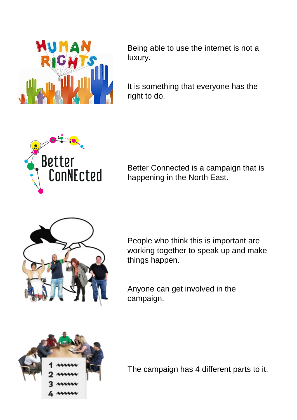

Being able to use the internet is not a luxury.

It is something that everyone has the right to do.



Better Connected is a campaign that is happening in the North East.



People who think this is important are working together to speak up and make things happen.

Anyone can get involved in the campaign.



The campaign has 4 different parts to it.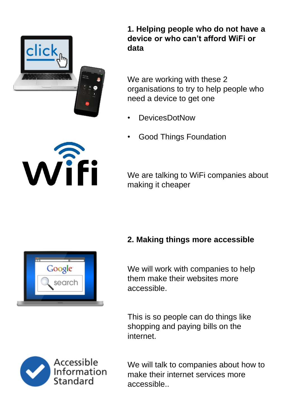

**1. Helping people who do not have a device or who can't afford WiFi or data**

We are working with these 2 organisations to try to help people who need a device to get one

- DevicesDotNow
- Good Things Foundation



We are talking to WiFi companies about making it cheaper

#### **2. Making things more accessible**

We will work with companies to help them make their websites more accessible.

This is so people can do things like shopping and paying bills on the internet.



We will talk to companies about how to make their internet services more accessible..

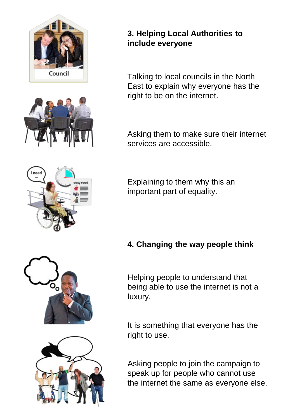



#### **3. Helping Local Authorities to include everyone**

Talking to local councils in the North East to explain why everyone has the right to be on the internet.

Asking them to make sure their internet services are accessible.

Explaining to them why this an important part of equality.

### **4. Changing the way people think**

Helping people to understand that being able to use the internet is not a luxury.

It is something that everyone has the right to use.

Asking people to join the campaign to speak up for people who cannot use the internet the same as everyone else.